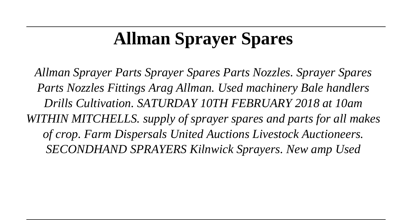# **Allman Sprayer Spares**

*Allman Sprayer Parts Sprayer Spares Parts Nozzles. Sprayer Spares Parts Nozzles Fittings Arag Allman. Used machinery Bale handlers Drills Cultivation. SATURDAY 10TH FEBRUARY 2018 at 10am WITHIN MITCHELLS. supply of sprayer spares and parts for all makes of crop. Farm Dispersals United Auctions Livestock Auctioneers. SECONDHAND SPRAYERS Kilnwick Sprayers. New amp Used*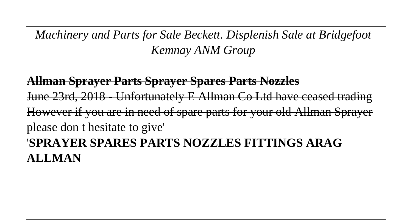*Machinery and Parts for Sale Beckett. Displenish Sale at Bridgefoot Kemnay ANM Group*

**Allman Sprayer Parts Sprayer Spares Parts Nozzles** June 23rd, 2018 - Unfortunately E Allman Co Ltd have ceased trad However if you are in need of spare parts for your old Allman Sprayer please don t hesitate to give' '**SPRAYER SPARES PARTS NOZZLES FITTINGS ARAG ALLMAN**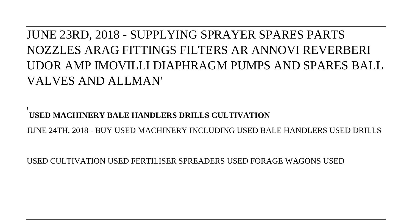### JUNE 23RD, 2018 - SUPPLYING SPRAYER SPARES PARTS NOZZLES ARAG FITTINGS FILTERS AR ANNOVI REVERBERI UDOR AMP IMOVILLI DIAPHRAGM PUMPS AND SPARES BALL VALVES AND ALLMAN'

'**USED MACHINERY BALE HANDLERS DRILLS CULTIVATION**

JUNE 24TH, 2018 - BUY USED MACHINERY INCLUDING USED BALE HANDLERS USED DRILLS

USED CULTIVATION USED FERTILISER SPREADERS USED FORAGE WAGONS USED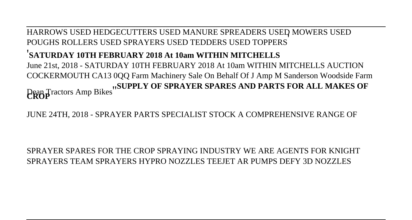HARROWS USED HEDGECUTTERS USED MANURE SPREADERS USED MOWERS USED POUGHS ROLLERS USED SPRAYERS USED TEDDERS USED TOPPERS'

### '**SATURDAY 10TH FEBRUARY 2018 At 10am WITHIN MITCHELLS**

June 21st, 2018 - SATURDAY 10TH FEBRUARY 2018 At 10am WITHIN MITCHELLS AUCTION COCKERMOUTH CA13 0QQ Farm Machinery Sale On Behalf Of J Amp M Sanderson Woodside Farm Dean Tractors Amp Bikes''**SUPPLY OF SPRAYER SPARES AND PARTS FOR ALL MAKES OF CROP**

JUNE 24TH, 2018 - SPRAYER PARTS SPECIALIST STOCK A COMPREHENSIVE RANGE OF

SPRAYER SPARES FOR THE CROP SPRAYING INDUSTRY WE ARE AGENTS FOR KNIGHT SPRAYERS TEAM SPRAYERS HYPRO NOZZLES TEEJET AR PUMPS DEFY 3D NOZZLES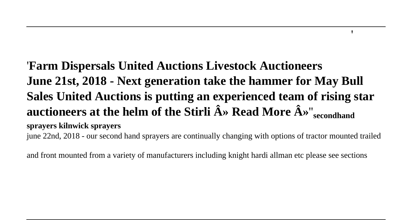'**Farm Dispersals United Auctions Livestock Auctioneers June 21st, 2018 - Next generation take the hammer for May Bull Sales United Auctions is putting an experienced team of rising star auctioneers at the helm of the Stirli**  $\hat{A}$ **» Read More**  $\hat{A}$ **»** "secondhand **sprayers kilnwick sprayers**

'

june 22nd, 2018 - our second hand sprayers are continually changing with options of tractor mounted trailed

and front mounted from a variety of manufacturers including knight hardi allman etc please see sections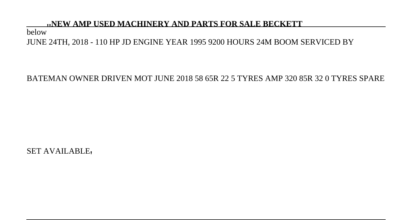## **below**<br>helow<br> $\frac{1}{10}$ **NEW AMP USED MACHINERY AND PARTS FOR SALE BECKETT**

JUNE 24TH, 2018 - 110 HP JD ENGINE YEAR 1995 9200 HOURS 24M BOOM SERVICED BY

#### BATEMAN OWNER DRIVEN MOT JUNE 2018 58 65R 22 5 TYRES AMP 320 85R 32 0 TYRES SPARE

SET AVAILABLE'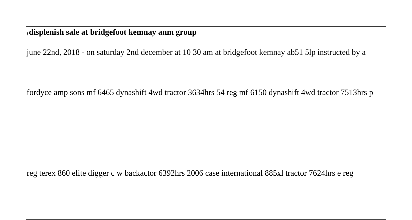'**displenish sale at bridgefoot kemnay anm group**

june 22nd, 2018 - on saturday 2nd december at 10 30 am at bridgefoot kemnay ab51 5lp instructed by a

fordyce amp sons mf 6465 dynashift 4wd tractor 3634hrs 54 reg mf 6150 dynashift 4wd tractor 7513hrs p

reg terex 860 elite digger c w backactor 6392hrs 2006 case international 885xl tractor 7624hrs e reg